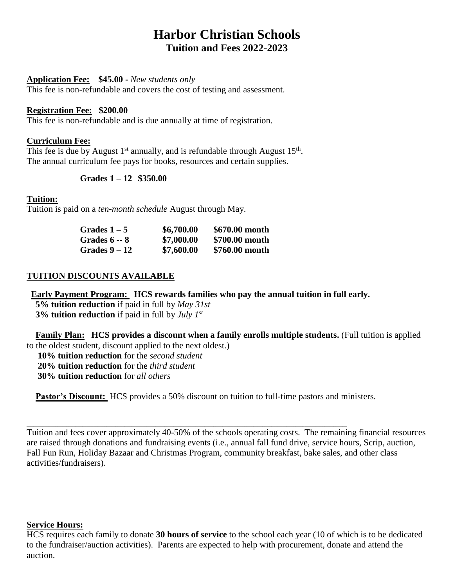# **Harbor Christian Schools Tuition and Fees 2022-2023**

#### **Application Fee: \$45.00 -** *New students only*

This fee is non-refundable and covers the cost of testing and assessment.

#### **Registration Fee: \$200.00**

This fee is non-refundable and is due annually at time of registration.

#### **Curriculum Fee:**

This fee is due by August  $1<sup>st</sup>$  annually, and is refundable through August  $15<sup>th</sup>$ . The annual curriculum fee pays for books, resources and certain supplies.

#### **Grades 1 – 12 \$350.00**

#### **Tuition:**

Tuition is paid on a *ten-month schedule* August through May.

| Grades 1 – 5         | \$6,700.00 | \$670.00 month |
|----------------------|------------|----------------|
| <b>Grades 6 -- 8</b> | \$7,000.00 | \$700.00 month |
| <b>Grades 9 – 12</b> | \$7,600.00 | \$760.00 month |

#### **TUITION DISCOUNTS AVAILABLE**

**Early Payment Program: HCS rewards families who pay the annual tuition in full early.**

 **5% tuition reduction** if paid in full by *May 31st*  **3% tuition reduction** if paid in full by *July 1st*

 **Family Plan: HCS provides a discount when a family enrolls multiple students.** (Full tuition is applied to the oldest student, discount applied to the next oldest.)

 **10% tuition reduction** for the *second student* **20% tuition reduction** for the *third student*  **30% tuition reduction** for *all others*

**Pastor's Discount:** HCS provides a 50% discount on tuition to full-time pastors and ministers.

\_\_\_\_\_\_\_\_\_\_\_\_\_\_\_\_\_\_\_\_\_\_\_\_\_\_\_\_\_\_\_\_\_\_\_\_\_\_\_\_\_\_\_\_\_\_\_\_\_\_\_\_\_\_\_\_\_\_\_\_\_\_\_\_\_\_\_\_\_\_\_\_\_\_\_\_\_\_\_\_\_\_\_\_\_\_\_\_\_\_\_\_\_\_\_\_\_\_\_\_\_\_\_\_\_\_\_\_\_\_\_\_\_\_\_\_\_\_\_\_\_\_\_\_\_\_\_\_\_\_\_\_\_\_\_\_\_\_\_\_\_\_\_\_

Tuition and fees cover approximately 40-50% of the schools operating costs. The remaining financial resources are raised through donations and fundraising events (i.e., annual fall fund drive, service hours, Scrip, auction, Fall Fun Run, Holiday Bazaar and Christmas Program, community breakfast, bake sales, and other class activities/fundraisers).

#### **Service Hours:**

HCS requires each family to donate **30 hours of service** to the school each year (10 of which is to be dedicated to the fundraiser/auction activities). Parents are expected to help with procurement, donate and attend the auction.